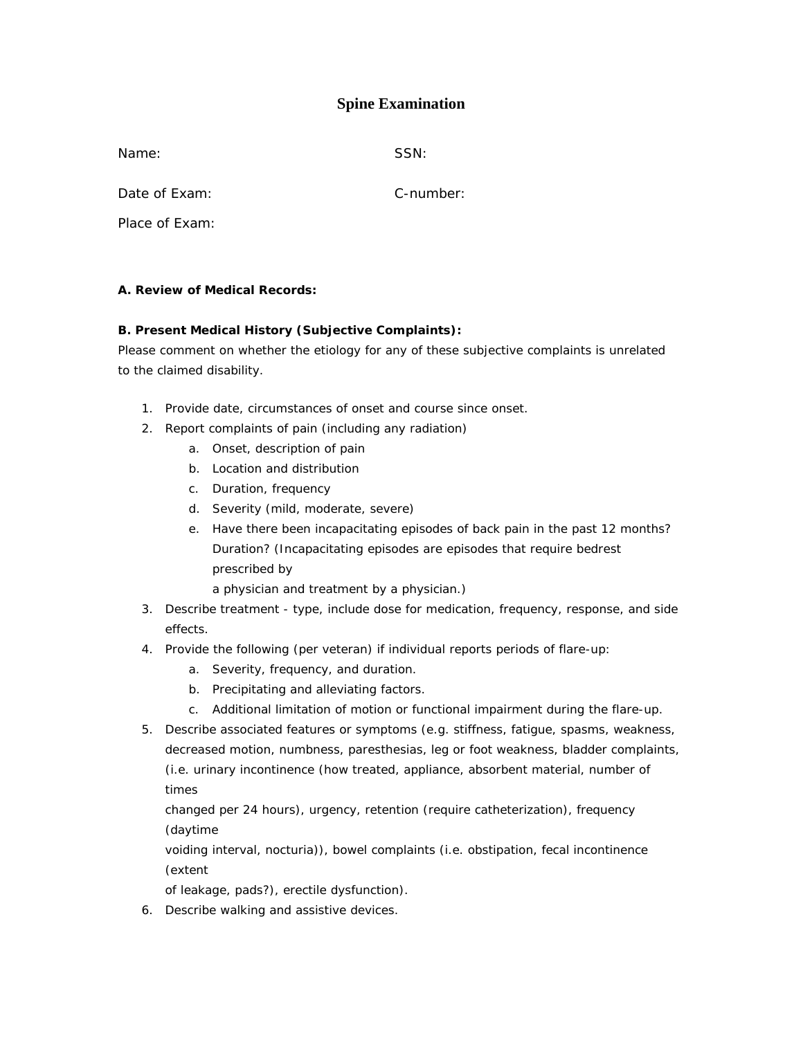# **Spine Examination**

Name: SSN:

Date of Exam: C-number:

Place of Exam:

## **A. Review of Medical Records:**

## **B. Present Medical History (Subjective Complaints):**

Please comment on whether the etiology for any of these subjective complaints is unrelated to the claimed disability.

- 1. Provide date, circumstances of onset and course since onset.
- 2. Report complaints of pain (including any radiation)
	- a. Onset, description of pain
	- b. Location and distribution
	- c. Duration, frequency
	- d. Severity (mild, moderate, severe)
	- e. Have there been incapacitating episodes of back pain in the past 12 months? Duration? (Incapacitating episodes are episodes that require bedrest prescribed by
		- a physician and treatment by a physician.)
- 3. Describe treatment type, include dose for medication, frequency, response, and side effects.
- 4. Provide the following (per veteran) if individual reports periods of flare-up:
	- a. Severity, frequency, and duration.
	- b. Precipitating and alleviating factors.
	- c. Additional limitation of motion or functional impairment during the flare-up.
- 5. Describe associated features or symptoms (e.g. stiffness, fatigue, spasms, weakness, decreased motion, numbness, paresthesias, leg or foot weakness, bladder complaints, (i.e. urinary incontinence (how treated, appliance, absorbent material, number of times

changed per 24 hours), urgency, retention (require catheterization), frequency (daytime

voiding interval, nocturia)), bowel complaints (i.e. obstipation, fecal incontinence (extent

of leakage, pads?), erectile dysfunction).

6. Describe walking and assistive devices.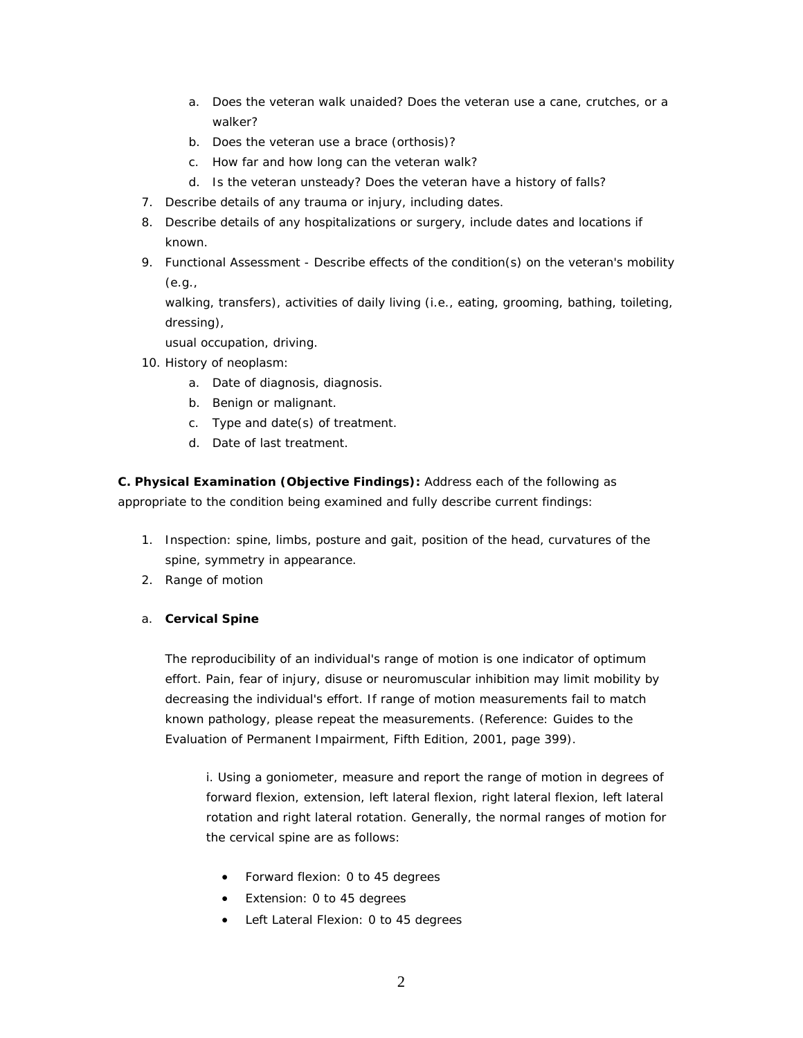- a. Does the veteran walk unaided? Does the veteran use a cane, crutches, or a walker?
- b. Does the veteran use a brace (orthosis)?
- c. How far and how long can the veteran walk?
- d. Is the veteran unsteady? Does the veteran have a history of falls?
- 7. Describe details of any trauma or injury, including dates.
- 8. Describe details of any hospitalizations or surgery, include dates and locations if known.
- 9. Functional Assessment Describe effects of the condition(s) on the veteran's mobility (e.g.,

walking, transfers), activities of daily living (i.e., eating, grooming, bathing, toileting, dressing),

usual occupation, driving.

- 10. History of neoplasm:
	- a. Date of diagnosis, diagnosis.
	- b. Benign or malignant.
	- c. Type and date(s) of treatment.
	- d. Date of last treatment.

**C. Physical Examination (Objective Findings):** Address each of the following as appropriate to the condition being examined and fully describe current findings:

- 1. Inspection: spine, limbs, posture and gait, position of the head, curvatures of the spine, symmetry in appearance.
- 2. Range of motion
- a. **Cervical Spine**

The reproducibility of an individual's range of motion is one indicator of optimum effort. Pain, fear of injury, disuse or neuromuscular inhibition may limit mobility by decreasing the individual's effort. If range of motion measurements fail to match known pathology, please repeat the measurements. (Reference: Guides to the Evaluation of Permanent Impairment, Fifth Edition, 2001, page 399).

i. Using a goniometer, measure and report the range of motion in degrees of forward flexion, extension, left lateral flexion, right lateral flexion, left lateral rotation and right lateral rotation. Generally, the normal ranges of motion for the cervical spine are as follows:

- Forward flexion: 0 to 45 degrees
- Extension: 0 to 45 degrees
- Left Lateral Flexion: 0 to 45 degrees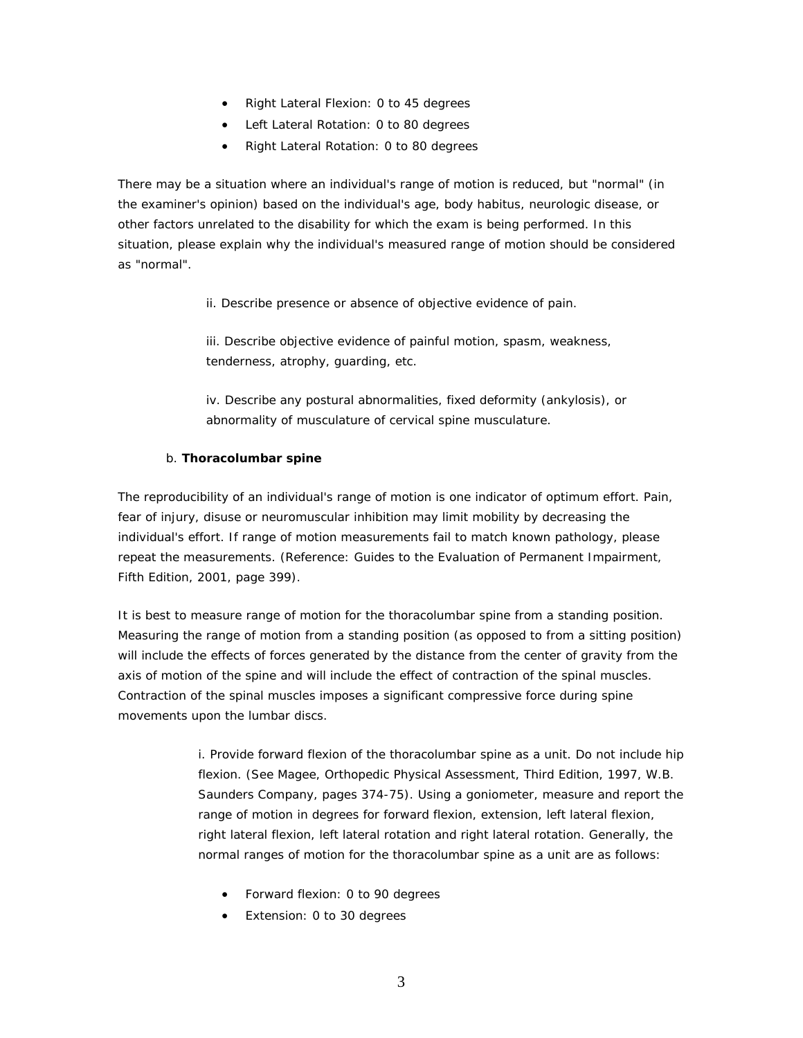- Right Lateral Flexion: 0 to 45 degrees
- Left Lateral Rotation: 0 to 80 degrees
- Right Lateral Rotation: 0 to 80 degrees

There may be a situation where an individual's range of motion is reduced, but "normal" (in the examiner's opinion) based on the individual's age, body habitus, neurologic disease, or other factors unrelated to the disability for which the exam is being performed. In this situation, please explain why the individual's measured range of motion should be considered as "normal".

ii. Describe presence or absence of objective evidence of pain.

iii. Describe objective evidence of painful motion, spasm, weakness, tenderness, atrophy, guarding, etc.

iv. Describe any postural abnormalities, fixed deformity (ankylosis), or abnormality of musculature of cervical spine musculature.

## b. **Thoracolumbar spine**

The reproducibility of an individual's range of motion is one indicator of optimum effort. Pain, fear of injury, disuse or neuromuscular inhibition may limit mobility by decreasing the individual's effort. If range of motion measurements fail to match known pathology, please repeat the measurements. (Reference: Guides to the Evaluation of Permanent Impairment, Fifth Edition, 2001, page 399).

It is best to measure range of motion for the thoracolumbar spine from a standing position. Measuring the range of motion from a standing position (as opposed to from a sitting position) will include the effects of forces generated by the distance from the center of gravity from the axis of motion of the spine and will include the effect of contraction of the spinal muscles. Contraction of the spinal muscles imposes a significant compressive force during spine movements upon the lumbar discs.

> i. Provide forward flexion of the thoracolumbar spine as a unit. Do not include hip flexion. (See Magee, Orthopedic Physical Assessment, Third Edition, 1997, W.B. Saunders Company, pages 374-75). Using a goniometer, measure and report the range of motion in degrees for forward flexion, extension, left lateral flexion, right lateral flexion, left lateral rotation and right lateral rotation. Generally, the normal ranges of motion for the thoracolumbar spine as a unit are as follows:

- Forward flexion: 0 to 90 degrees
- Extension: 0 to 30 degrees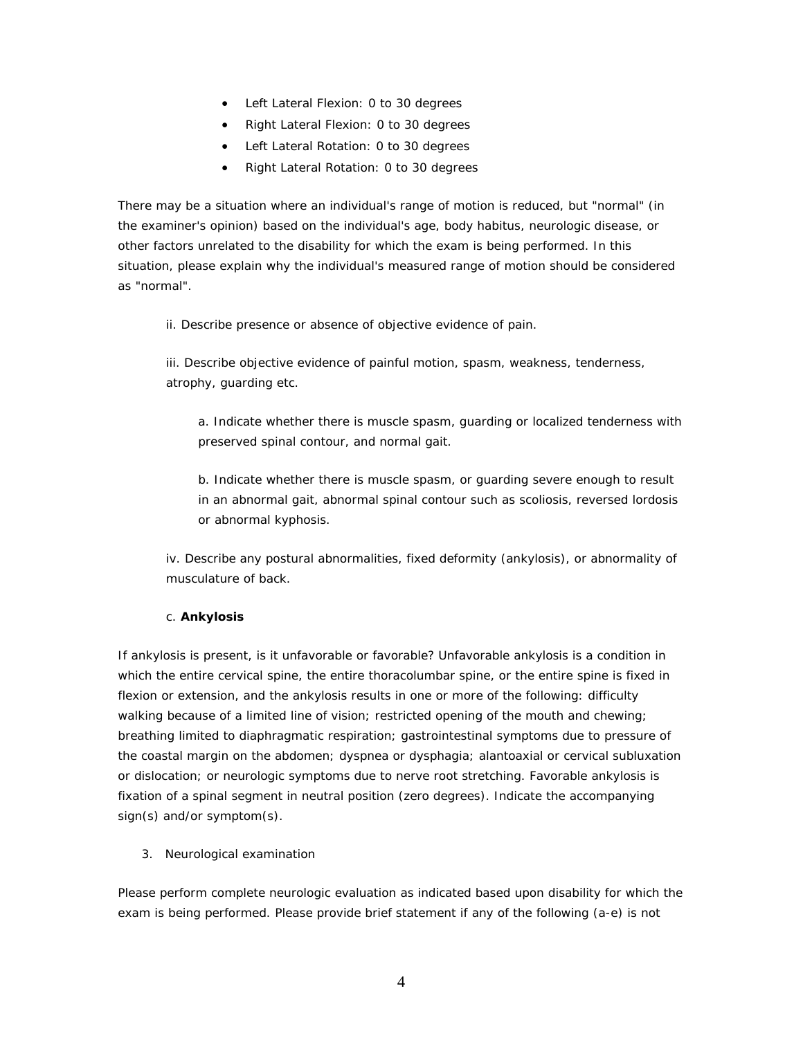- Left Lateral Flexion: 0 to 30 degrees
- Right Lateral Flexion: 0 to 30 degrees
- Left Lateral Rotation: 0 to 30 degrees
- Right Lateral Rotation: 0 to 30 degrees

There may be a situation where an individual's range of motion is reduced, but "normal" (in the examiner's opinion) based on the individual's age, body habitus, neurologic disease, or other factors unrelated to the disability for which the exam is being performed. In this situation, please explain why the individual's measured range of motion should be considered as "normal".

ii. Describe presence or absence of objective evidence of pain.

iii. Describe objective evidence of painful motion, spasm, weakness, tenderness, atrophy, guarding etc.

a. Indicate whether there is muscle spasm, guarding or localized tenderness with preserved spinal contour, and normal gait.

b. Indicate whether there is muscle spasm, or guarding severe enough to result in an abnormal gait, abnormal spinal contour such as scoliosis, reversed lordosis or abnormal kyphosis.

iv. Describe any postural abnormalities, fixed deformity (ankylosis), or abnormality of musculature of back.

#### c. **Ankylosis**

If ankylosis is present, is it unfavorable or favorable? Unfavorable ankylosis is a condition in which the entire cervical spine, the entire thoracolumbar spine, or the entire spine is fixed in flexion or extension, and the ankylosis results in one or more of the following: difficulty walking because of a limited line of vision; restricted opening of the mouth and chewing; breathing limited to diaphragmatic respiration; gastrointestinal symptoms due to pressure of the coastal margin on the abdomen; dyspnea or dysphagia; alantoaxial or cervical subluxation or dislocation; or neurologic symptoms due to nerve root stretching. Favorable ankylosis is fixation of a spinal segment in neutral position (zero degrees). Indicate the accompanying sign(s) and/or symptom(s).

3. Neurological examination

Please perform complete neurologic evaluation as indicated based upon disability for which the exam is being performed. Please provide brief statement if any of the following (a-e) is not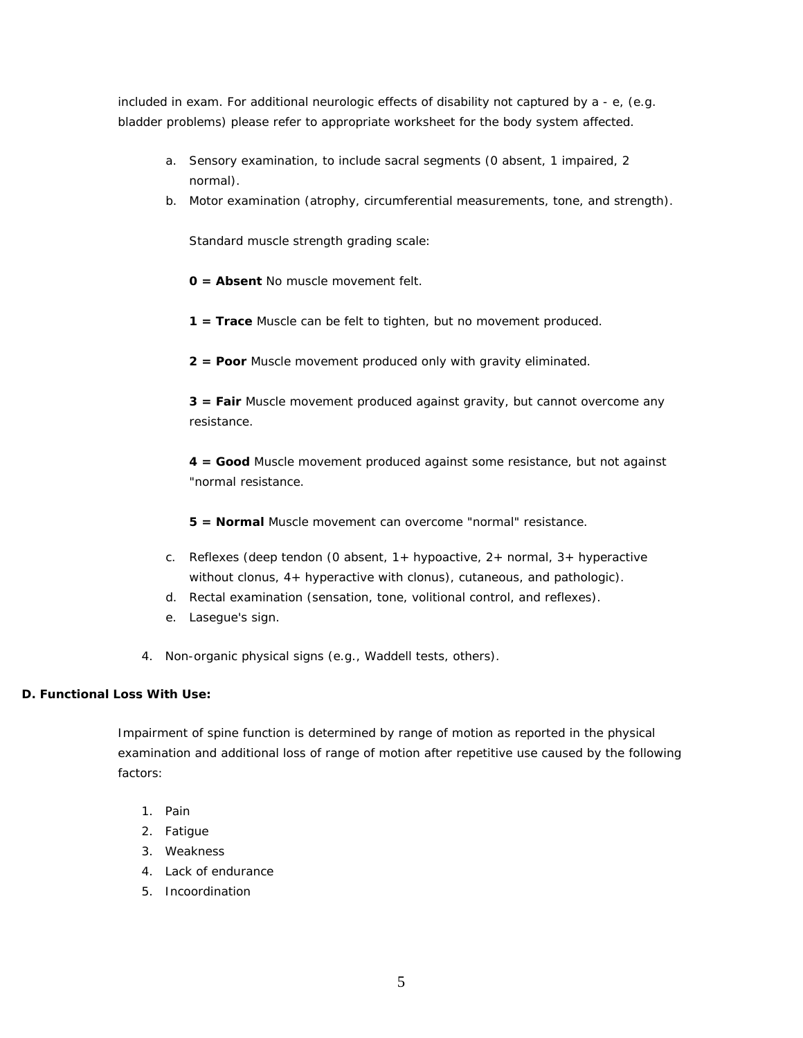included in exam. For additional neurologic effects of disability not captured by a - e, (e.g. bladder problems) please refer to appropriate worksheet for the body system affected.

- a. Sensory examination, to include sacral segments (0 absent, 1 impaired, 2 normal).
- b. Motor examination (atrophy, circumferential measurements, tone, and strength).

Standard muscle strength grading scale:

**0 = Absent** No muscle movement felt.

- **1 = Trace** Muscle can be felt to tighten, but no movement produced.
- **2 = Poor** Muscle movement produced only with gravity eliminated.

**3 = Fair** Muscle movement produced against gravity, but cannot overcome any resistance.

**4 = Good** Muscle movement produced against some resistance, but not against "normal resistance.

**5 = Normal** Muscle movement can overcome "normal" resistance.

- c. Reflexes (deep tendon (0 absent,  $1+$  hypoactive,  $2+$  normal,  $3+$  hyperactive without clonus, 4+ hyperactive with clonus), cutaneous, and pathologic).
- d. Rectal examination (sensation, tone, volitional control, and reflexes).
- e. Lasegue's sign.
- 4. Non-organic physical signs (e.g., Waddell tests, others).

#### **D. Functional Loss With Use:**

Impairment of spine function is determined by range of motion as reported in the physical examination and additional loss of range of motion after repetitive use caused by the following factors:

- 1. Pain
- 2. Fatigue
- 3. Weakness
- 4. Lack of endurance
- 5. Incoordination